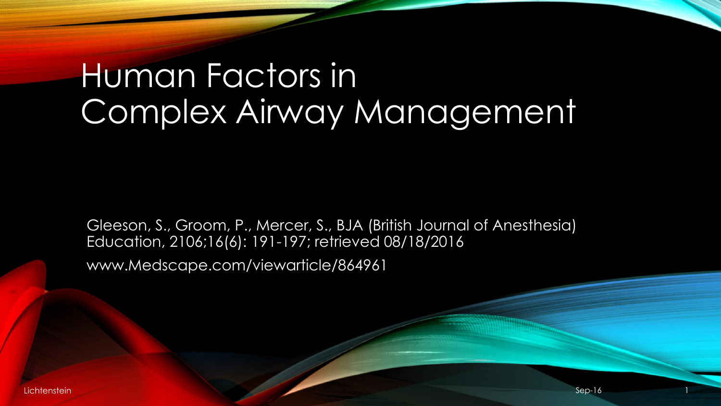# Human Factors in Complex Airway Management

Gleeson, S., Groom, P., Mercer, S., BJA (British Journal of Anesthesia) Education, 2106;16(6): 191-197; retrieved 08/18/2016 www.Medscape.com/viewarticle/864961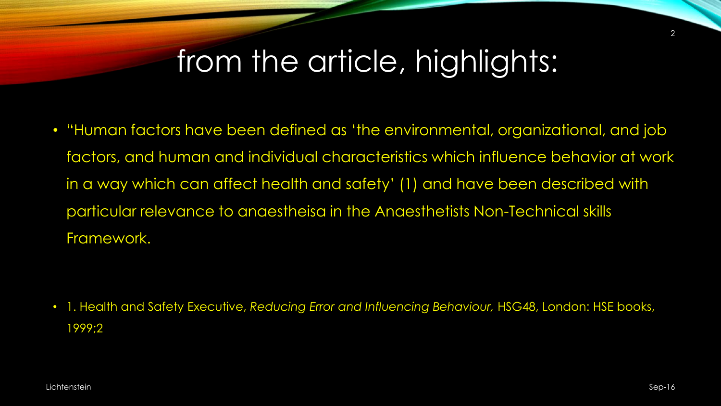### from the article, highlights:

• "Human factors have been defined as 'the environmental, organizational, and job factors, and human and individual characteristics which influence behavior at work in a way which can affect health and safety' (1) and have been described with particular relevance to anaestheisa in the Anaesthetists Non-Technical skills Framework.

• 1. Health and Safety Executive, *Reducing Error and Influencing Behaviour,* HSG48, London: HSE books, 1999;2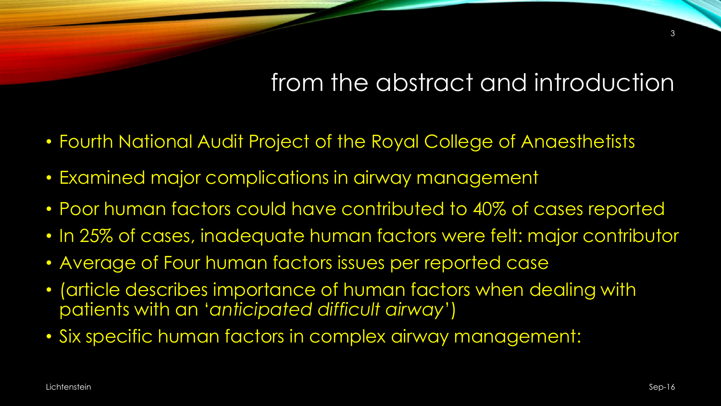### from the abstract and introduction

- Fourth National Audit Project of the Royal College of Anaesthetists
- Examined major complications in airway management
- Poor human factors could have contributed to 40% of cases reported
- In 25% of cases, inadequate human factors were felt: major contributor
- Average of Four human factors issues per reported case
- (article describes importance of human factors when dealing with patients with an '*anticipated difficult airway*')
- Six specific human factors in complex airway management: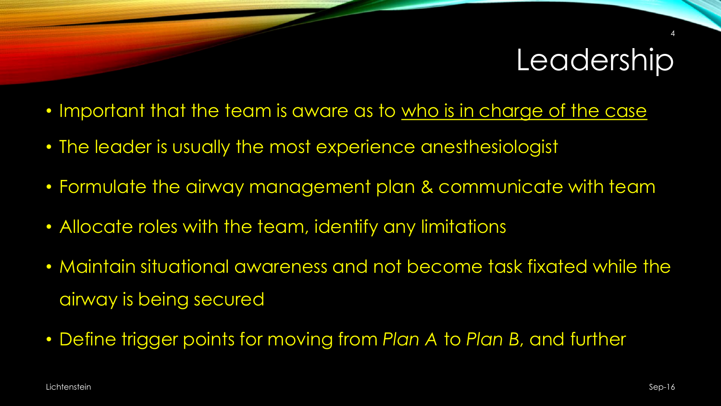## **Leadership**

- Important that the team is aware as to who is in charge of the case
- The leader is usually the most experience anesthesiologist
- Formulate the airway management plan & communicate with team
- Allocate roles with the team, identify any limitations
- Maintain situational awareness and not become task fixated while the airway is being secured
- Define trigger points for moving from *Plan A* to *Plan B*, and further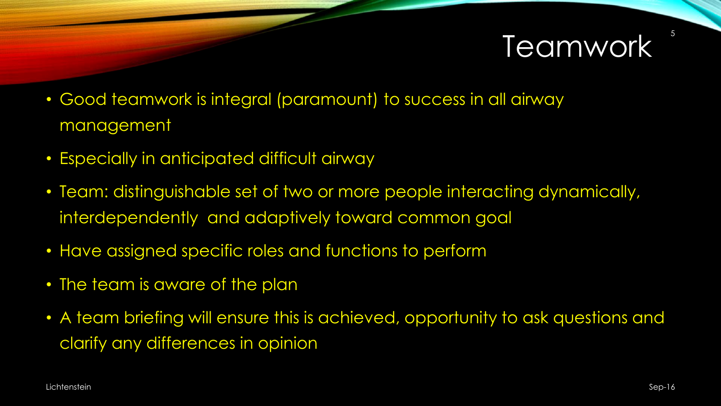## Teamwork

- Good teamwork is integral (paramount) to success in all airway management
- Especially in anticipated difficult airway
- Team: distinguishable set of two or more people interacting dynamically, interdependently and adaptively toward common goal
- Have assigned specific roles and functions to perform
- The team is aware of the plan
- A team briefing will ensure this is achieved, opportunity to ask questions and clarify any differences in opinion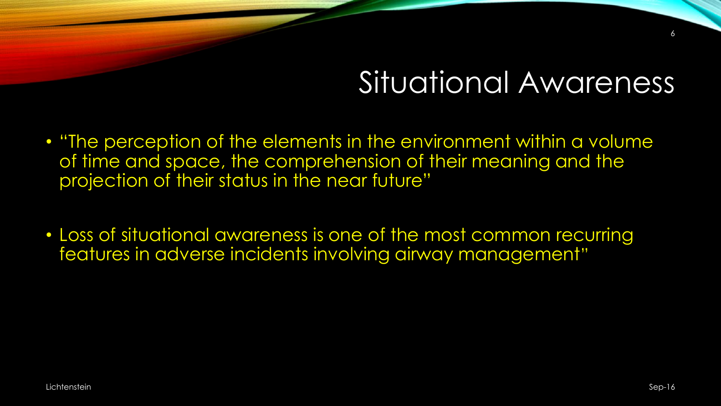## Situational Awareness

- "The perception of the elements in the environment within a volume of time and space, the comprehension of their meaning and the projection of their status in the near future"
- Loss of situational awareness is one of the most common recurring features in adverse incidents involving airway management"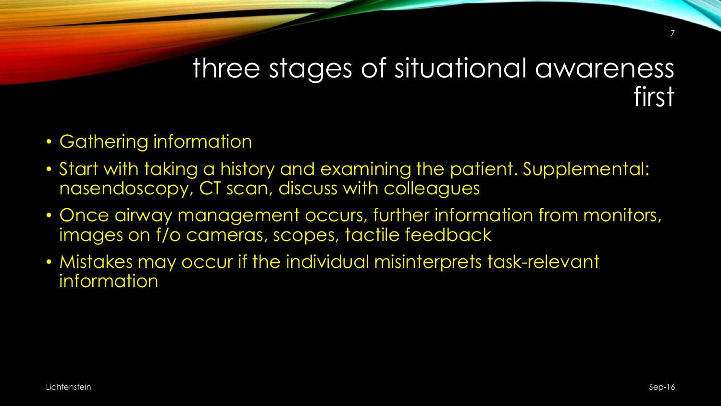### three stages of situational awareness first

- Gathering information
- Start with taking a history and examining the patient. Supplemental: nasendoscopy, CT scan, discuss with colleagues
- Once airway management occurs, further information from monitors, images on f/o cameras, scopes, tactile feedback
- Mistakes may occur if the individual misinterprets task-relevant information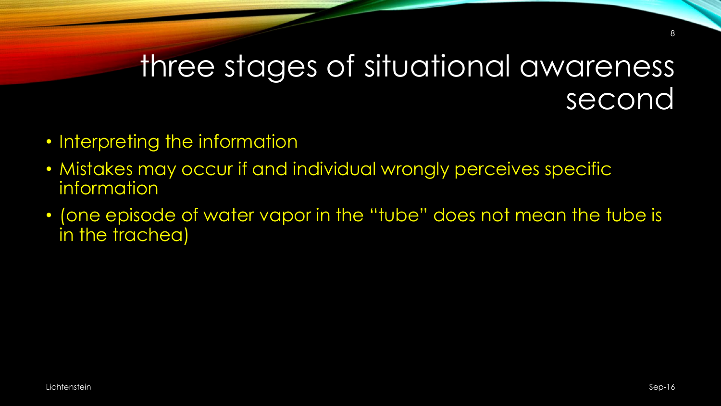### three stages of situational awareness second

- Interpreting the information
- Mistakes may occur if and individual wrongly perceives specific information
- (one episode of water vapor in the "tube" does not mean the tube is in the trachea)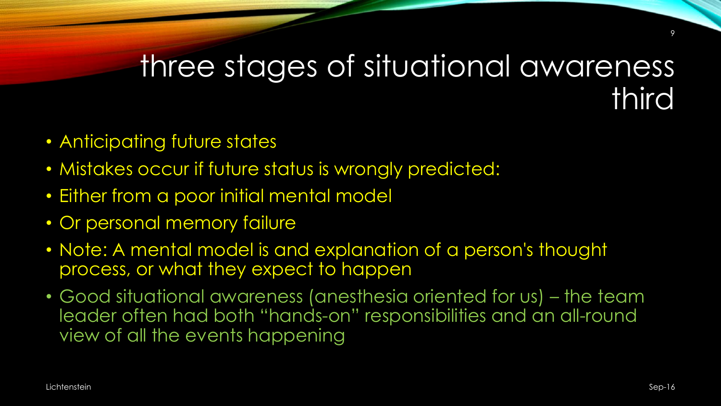### three stages of situational awareness third

- Anticipating future states
- Mistakes occur if future status is wrongly predicted:
- Either from a poor initial mental model
- Or personal memory failure
- Note: A mental model is and explanation of a person's thought process, or what they expect to happen
- Good situational awareness (anesthesia oriented for us) the team leader often had both "hands-on" responsibilities and an all-round view of all the events happening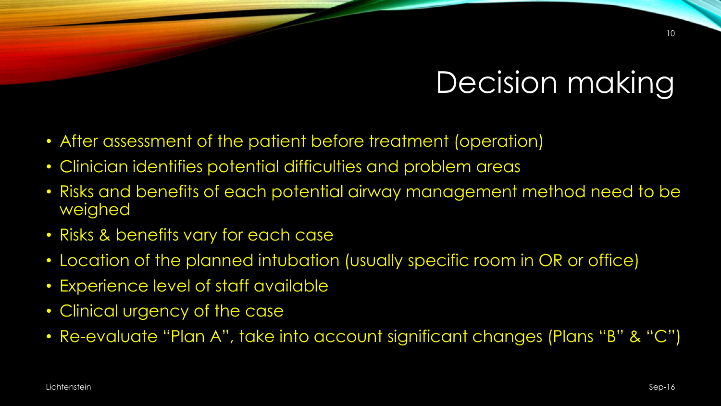## Decision making

- After assessment of the patient before treatment (operation)
- Clinician identifies potential difficulties and problem areas
- Risks and benefits of each potential airway management method need to be weighed
- Risks & benefits vary for each case
- Location of the planned intubation (usually specific room in OR or office)
- Experience level of staff available
- Clinical urgency of the case
- Re-evaluate "Plan A", take into account significant changes (Plans "B" & "C")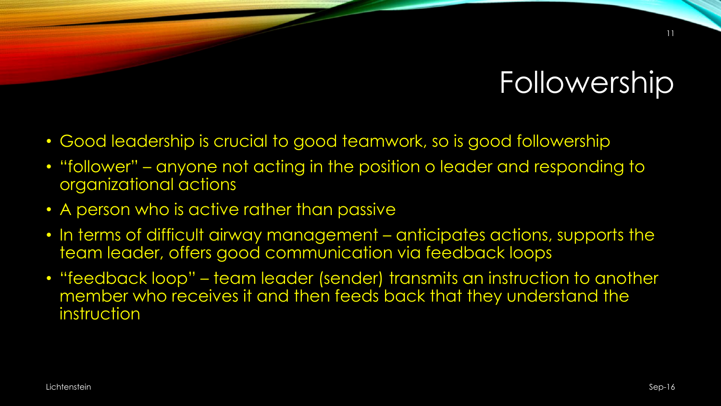# Followership

- Good leadership is crucial to good teamwork, so is good followership
- "follower" anyone not acting in the position o leader and responding to organizational actions
- A person who is active rather than passive
- In terms of difficult airway management anticipates actions, supports the team leader, offers good communication via feedback loops
- "feedback loop" team leader (sender) transmits an instruction to another member who receives it and then feeds back that they understand the instruction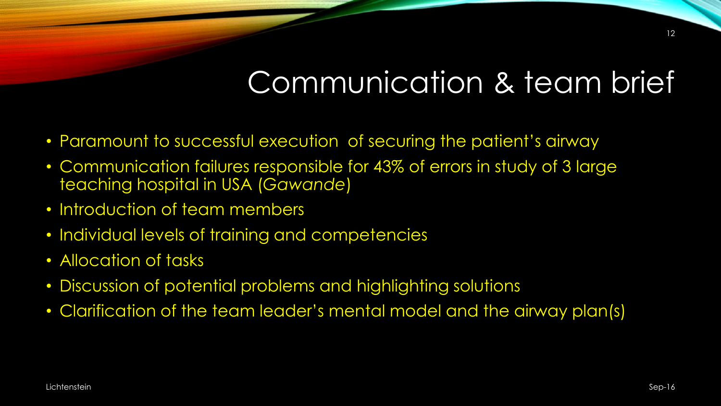# Communication & team brief

- Paramount to successful execution of securing the patient's airway
- Communication failures responsible for 43% of errors in study of 3 large teaching hospital in USA (*Gawande*)
- Introduction of team members
- Individual levels of training and competencies
- Allocation of tasks
- Discussion of potential problems and highlighting solutions
- Clarification of the team leader's mental model and the airway plan(s)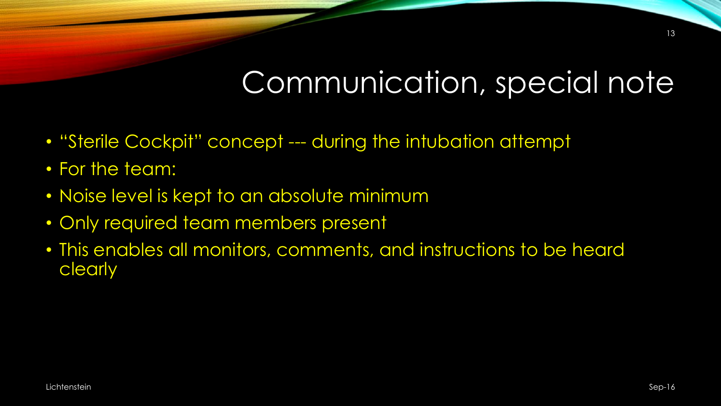# Communication, special note

- "Sterile Cockpit" concept --- during the intubation attempt
- For the team:
- Noise level is kept to an absolute minimum
- Only required team members present
- This enables all monitors, comments, and instructions to be heard clearly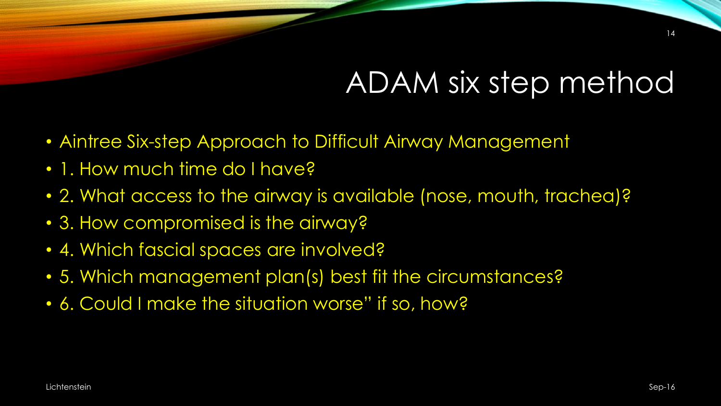# ADAM six step method

- Aintree Six-step Approach to Difficult Airway Management
- 1. How much time do I have?
- 2. What access to the airway is available (nose, mouth, trachea)?
- 3. How compromised is the airway?
- 4. Which fascial spaces are involved?
- 5. Which management plan(s) best fit the circumstances?
- 6. Could I make the situation worse" if so, how?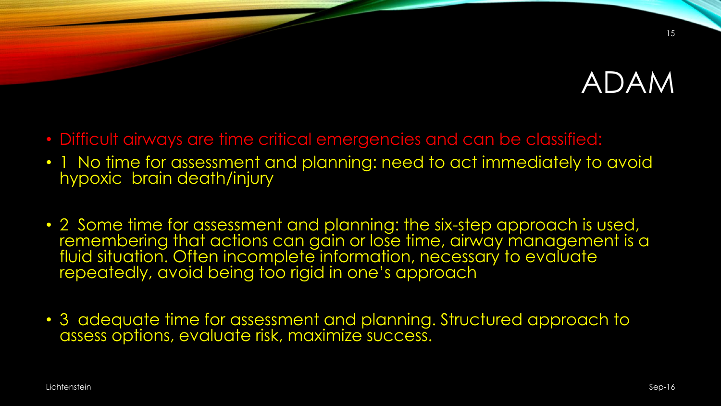## ADAM

- Difficult airways are time critical emergencies and can be classified:
- 1 No time for assessment and planning: need to act immediately to avoid hypoxic brain death/injury
- 2 Some time for assessment and planning: the six-step approach is used, remembering that actions can gain or lose time, airway management is a fluid situation. Often incomplete information, necessary to evaluate repeatedly, avoid being too rigid in one's approach
- 3 adequate time for assessment and planning. Structured approach to assess options, evaluate risk, maximize success.